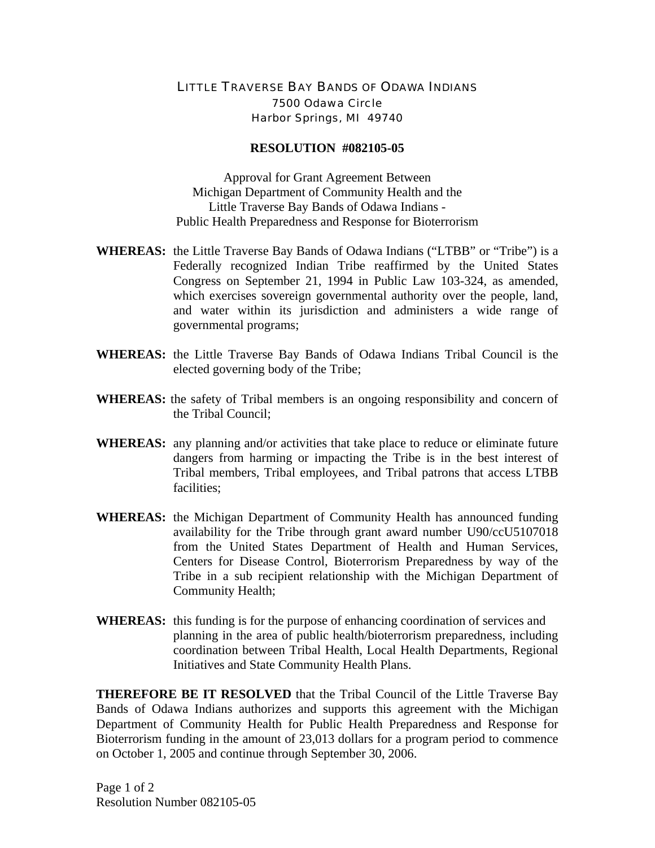## LITTLE TRAVERSE BAY BANDS OF ODAWA INDIANS 7500 Odawa Circle Harbor Springs, MI 49740

## **RESOLUTION #082105-05**

Approval for Grant Agreement Between Michigan Department of Community Health and the Little Traverse Bay Bands of Odawa Indians - Public Health Preparedness and Response for Bioterrorism

- **WHEREAS:** the Little Traverse Bay Bands of Odawa Indians ("LTBB" or "Tribe") is a Federally recognized Indian Tribe reaffirmed by the United States Congress on September 21, 1994 in Public Law 103-324, as amended, which exercises sovereign governmental authority over the people, land, and water within its jurisdiction and administers a wide range of governmental programs;
- **WHEREAS:** the Little Traverse Bay Bands of Odawa Indians Tribal Council is the elected governing body of the Tribe;
- **WHEREAS:** the safety of Tribal members is an ongoing responsibility and concern of the Tribal Council;
- **WHEREAS:** any planning and/or activities that take place to reduce or eliminate future dangers from harming or impacting the Tribe is in the best interest of Tribal members, Tribal employees, and Tribal patrons that access LTBB facilities;
- **WHEREAS:** the Michigan Department of Community Health has announced funding availability for the Tribe through grant award number U90/ccU5107018 from the United States Department of Health and Human Services, Centers for Disease Control, Bioterrorism Preparedness by way of the Tribe in a sub recipient relationship with the Michigan Department of Community Health;
- **WHEREAS:** this funding is for the purpose of enhancing coordination of services and planning in the area of public health/bioterrorism preparedness, including coordination between Tribal Health, Local Health Departments, Regional Initiatives and State Community Health Plans.

**THEREFORE BE IT RESOLVED** that the Tribal Council of the Little Traverse Bay Bands of Odawa Indians authorizes and supports this agreement with the Michigan Department of Community Health for Public Health Preparedness and Response for Bioterrorism funding in the amount of 23,013 dollars for a program period to commence on October 1, 2005 and continue through September 30, 2006.

Page 1 of 2 Resolution Number 082105-05